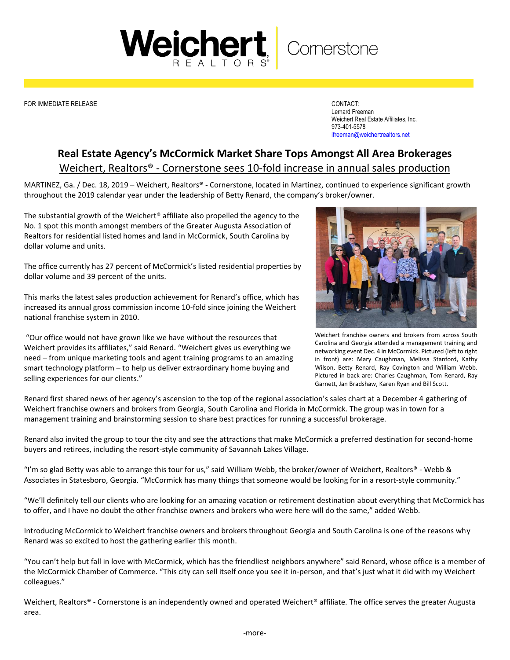## Weichert Comerstone

FOR IMMEDIATE RELEASE CONTACT:

Lernard Freeman Weichert Real Estate Affiliates, Inc. 973-401-5578 [lfreeman@weichertrealtors.net](mailto:lfreeman@weichertrealtors.net)

## **Real Estate Agency's McCormick Market Share Tops Amongst All Area Brokerages** Weichert, Realtors® - Cornerstone sees 10-fold increase in annual sales production

MARTINEZ, Ga. / Dec. 18, 2019 – Weichert, Realtors® - Cornerstone, located in Martinez, continued to experience significant growth throughout the 2019 calendar year under the leadership of Betty Renard, the company's broker/owner.

The substantial growth of the Weichert® affiliate also propelled the agency to the No. 1 spot this month amongst members of the Greater Augusta Association of Realtors for residential listed homes and land in McCormick, South Carolina by dollar volume and units.

The office currently has 27 percent of McCormick's listed residential properties by dollar volume and 39 percent of the units.

This marks the latest sales production achievement for Renard's office, which has increased its annual gross commission income 10-fold since joining the Weichert national franchise system in 2010.

"Our office would not have grown like we have without the resources that Weichert provides its affiliates," said Renard. "Weichert gives us everything we need – from unique marketing tools and agent training programs to an amazing smart technology platform – to help us deliver extraordinary home buying and selling experiences for our clients."



Weichert franchise owners and brokers from across South Carolina and Georgia attended a management training and networking event Dec. 4 in McCormick. Pictured (left to right in front) are: Mary Caughman, Melissa Stanford, Kathy Wilson, Betty Renard, Ray Covington and William Webb. Pictured in back are: Charles Caughman, Tom Renard, Ray Garnett, Jan Bradshaw, Karen Ryan and Bill Scott.

Renard first shared news of her agency's ascension to the top of the regional association's sales chart at a December 4 gathering of Weichert franchise owners and brokers from Georgia, South Carolina and Florida in McCormick. The group was in town for a management training and brainstorming session to share best practices for running a successful brokerage.

Renard also invited the group to tour the city and see the attractions that make McCormick a preferred destination for second-home buyers and retirees, including the resort-style community of Savannah Lakes Village.

"I'm so glad Betty was able to arrange this tour for us," said William Webb, the broker/owner of Weichert, Realtors® - Webb & Associates in Statesboro, Georgia. "McCormick has many things that someone would be looking for in a resort-style community."

"We'll definitely tell our clients who are looking for an amazing vacation or retirement destination about everything that McCormick has to offer, and I have no doubt the other franchise owners and brokers who were here will do the same," added Webb.

Introducing McCormick to Weichert franchise owners and brokers throughout Georgia and South Carolina is one of the reasons why Renard was so excited to host the gathering earlier this month.

"You can't help but fall in love with McCormick, which has the friendliest neighbors anywhere" said Renard, whose office is a member of the McCormick Chamber of Commerce. "This city can sell itself once you see it in-person, and that's just what it did with my Weichert colleagues."

Weichert, Realtors® - Cornerstone is an independently owned and operated Weichert® affiliate. The office serves the greater Augusta area.